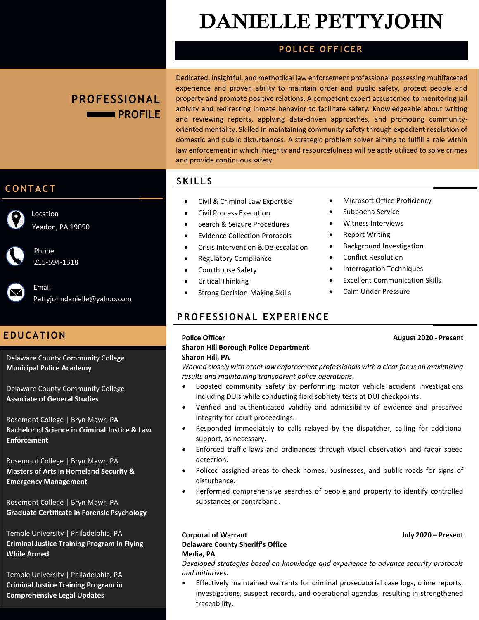# DANIELLE PETTYJOHN

# **POLICE OFFICER**

# **PROFESSIONAL PROFILE**

Dedicated, insightful, and methodical law enforcement professional possessing multifaceted experience and proven ability to maintain order and public safety, protect people and property and promote positive relations. A competent expert accustomed to monitoring jail activity and redirecting inmate behavior to facilitate safety. Knowledgeable about writing and reviewing reports, applying data-driven approaches, and promoting communityoriented mentality. Skilled in maintaining community safety through expedient resolution of domestic and public disturbances. A strategic problem solver aiming to fulfill a role within law enforcement in which integrity and resourcefulness will be aptly utilized to solve crimes and provide continuous safety.

• Microsoft Office Proficiency

• Background Investigation

• Calm Under Pressure

**Excellent Communication Skills** 

• Subpoena Service • Witness Interviews

• Conflict Resolution • Interrogation Techniques

• Report Writing

## **SK I LLS**

- Civil & Criminal Law Expertise
- Civil Process Execution
- Search & Seizure Procedures
- Evidence Collection Protocols
- Crisis Intervention & De-escalation
- Regulatory Compliance
- Courthouse Safety
- Critical Thinking
- Strong Decision-Making Skills

### **PROFESSIONAL EXPERIENCE**

### **Sharon Hill Borough Police Department Sharon Hill, PA**

*Worked closely with other law enforcement professionals with a clear focus on maximizing results and maintaining transparent police operations***.**

- Boosted community safety by performing motor vehicle accident investigations including DUIs while conducting field sobriety tests at DUI checkpoints.
- Verified and authenticated validity and admissibility of evidence and preserved integrity for court proceedings.
- Responded immediately to calls relayed by the dispatcher, calling for additional support, as necessary.
- Enforced traffic laws and ordinances through visual observation and radar speed detection.
- Policed assigned areas to check homes, businesses, and public roads for signs of disturbance.
- Performed comprehensive searches of people and property to identify controlled substances or contraband.

### **Corporal of Warrant July 2020 – Present Delaware County Sheriff's Office Media, PA**

*Developed strategies based on knowledge and experience to advance security protocols and initiatives***.**

• Effectively maintained warrants for criminal prosecutorial case logs, crime reports, investigations, suspect records, and operational agendas, resulting in strengthened traceability.

# **CON TACT**

Location

Phone 215-594-1318

Yeadon, PA 19050

Email [Pettyjohndanielle@yahoo.com](mailto:Pettyjohndanielle@yahoo.com)

# **EDU CATI ON**

Delaware County Community College **Municipal Police Academy**

Delaware County Community College **Associate of General Studies** 

Rosemont College | Bryn Mawr, PA **Bachelor of Science in Criminal Justice & Law Enforcement**

Rosemont College | Bryn Mawr, PA **Masters of Arts in Homeland Security & Emergency Management**

Rosemont College | Bryn Mawr, PA **Graduate Certificate in Forensic Psychology**

Temple University | Philadelphia, PA **Criminal Justice Training Program in Flying While Armed**

Temple University | Philadelphia, PA **Criminal Justice Training Program in Comprehensive Legal Updates**

### **Police Officer August 2020 - Present**